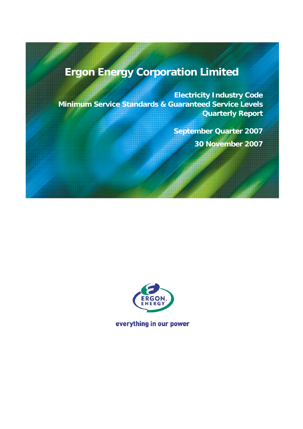# **Ergon Energy Corporation Limited**

**Electricity Industry Code Minimum Service Standards & Guaranteed Service Levels Quarterly Report**

> **September Quarter 2007 30 November 2007**



everything in our power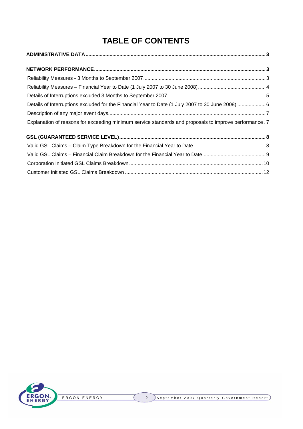## **TABLE OF CONTENTS**

| Details of Interruptions excluded for the Financial Year to Date (1 July 2007 to 30 June 2008) 6       |  |
|--------------------------------------------------------------------------------------------------------|--|
|                                                                                                        |  |
| Explanation of reasons for exceeding minimum service standards and proposals to improve performance .7 |  |
|                                                                                                        |  |
|                                                                                                        |  |
|                                                                                                        |  |
|                                                                                                        |  |

Customer Initiated GSL Claims Breakdown [..................................................................................................12](#page-11-0)

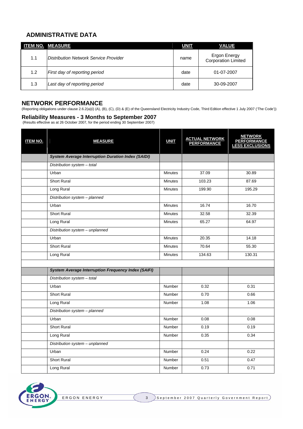## <span id="page-2-0"></span>**ADMINISTRATIVE DATA**

|     | <b>ITEM NO. MEASURE</b>                      | <b>UNIT</b> | <b>VALUE</b>                               |
|-----|----------------------------------------------|-------------|--------------------------------------------|
| 1.1 | <b>Distribution Network Service Provider</b> | name        | Ergon Energy<br><b>Corporation Limited</b> |
| 1.2 | First day of reporting period                | date        | 01-07-2007                                 |
| 1.3 | Last day of reporting period                 | date        | 30-09-2007                                 |

## **NETWORK PERFORMANCE**

(Reporting obligations under clause 2.6.2(a)(i) (A), (B), (C), (D) & (E) of the Queensland Electricity Industry Code, Third Edition effective 1 July 2007 ('The Code'))

#### **Reliability Measures - 3 Months to September 2007**

(Results effective as at 26 October 2007, for the period ending 30 September 2007)

| <b>ITEM NO.</b> | <b>MEASURE</b>                                             | <b>UNIT</b>    | ACTUAL NETWORK<br>PERFORMANCE | <b>NETWORK</b><br>PERFORMANCE<br>LESS EXCLUSIONS |
|-----------------|------------------------------------------------------------|----------------|-------------------------------|--------------------------------------------------|
|                 | <b>System Average Interruption Duration Index (SAIDI)</b>  |                |                               |                                                  |
|                 | Distribution system - total                                |                |                               |                                                  |
|                 | Urban                                                      | <b>Minutes</b> | 37.09                         | 30.89                                            |
|                 | <b>Short Rural</b>                                         | Minutes        | 103.23                        | 87.69                                            |
|                 | Long Rural                                                 | <b>Minutes</b> | 199.90                        | 195.29                                           |
|                 | Distribution system - planned                              |                |                               |                                                  |
|                 | Urban                                                      | <b>Minutes</b> | 16.74                         | 16.70                                            |
|                 | <b>Short Rural</b>                                         | <b>Minutes</b> | 32.58                         | 32.39                                            |
|                 | Long Rural                                                 | <b>Minutes</b> | 65.27                         | 64.97                                            |
|                 | Distribution system - unplanned                            |                |                               |                                                  |
|                 | Urban                                                      | <b>Minutes</b> | 20.35                         | 14.18                                            |
|                 | <b>Short Rural</b>                                         | <b>Minutes</b> | 70.64                         | 55.30                                            |
|                 | Long Rural                                                 | <b>Minutes</b> | 134.63                        | 130.31                                           |
|                 |                                                            |                |                               |                                                  |
|                 | <b>System Average Interruption Frequency Index (SAIFI)</b> |                |                               |                                                  |
|                 | Distribution system - total                                |                |                               |                                                  |
|                 | Urban                                                      | Number         | 0.32                          | 0.31                                             |
|                 | <b>Short Rural</b>                                         | Number         | 0.70                          | 0.66                                             |
|                 | Long Rural                                                 | Number         | 1.08                          | 1.06                                             |
|                 | Distribution system - planned                              |                |                               |                                                  |
|                 | Urban                                                      | Number         | 0.08                          | 0.08                                             |
|                 | <b>Short Rural</b>                                         | Number         | 0.19                          | 0.19                                             |
|                 | Long Rural                                                 | Number         | 0.35                          | 0.34                                             |
|                 | Distribution system - unplanned                            |                |                               |                                                  |
|                 | Urban                                                      | Number         | 0.24                          | 0.22                                             |
|                 | <b>Short Rural</b>                                         | <b>Number</b>  | 0.51                          | 0.47                                             |
|                 | Long Rural                                                 | <b>Number</b>  | 0.73                          | 0.71                                             |

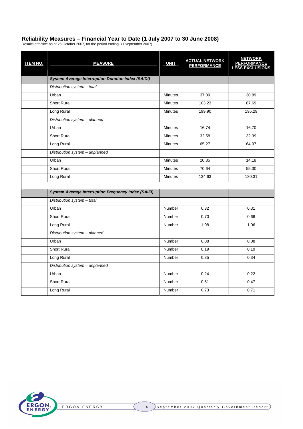## <span id="page-3-0"></span>**Reliability Measures – Financial Year to Date (1 July 2007 to 30 June 2008)**

Results effective as at 26 October 2007, for the period ending 30 September 2007)

| <b>ITEM NO.</b> | <b>MEASURE</b>                                             | <b>UNIT</b>    | <b>ACTUAL NETWORK</b><br>PERFORMANCE | <b>NETWORK</b><br><b>PERFORMANCE</b><br>LESS EXCLUSIONS |
|-----------------|------------------------------------------------------------|----------------|--------------------------------------|---------------------------------------------------------|
|                 | <b>System Average Interruption Duration Index (SAIDI)</b>  |                |                                      |                                                         |
|                 | Distribution system - total                                |                |                                      |                                                         |
|                 | Urban                                                      | <b>Minutes</b> | 37.09                                | 30.89                                                   |
|                 | <b>Short Rural</b>                                         | <b>Minutes</b> | 103.23                               | 87.69                                                   |
|                 | Long Rural                                                 | <b>Minutes</b> | 199.90                               | 195.29                                                  |
|                 | Distribution system - planned                              |                |                                      |                                                         |
|                 | Urban                                                      | <b>Minutes</b> | 16.74                                | 16.70                                                   |
|                 | <b>Short Rural</b>                                         | <b>Minutes</b> | 32.58                                | 32.39                                                   |
|                 | Long Rural                                                 | <b>Minutes</b> | 65.27                                | 64.97                                                   |
|                 | Distribution system - unplanned                            |                |                                      |                                                         |
|                 | Urban                                                      | <b>Minutes</b> | 20.35                                | 14.18                                                   |
|                 | <b>Short Rural</b>                                         | <b>Minutes</b> | 70.64                                | 55.30                                                   |
|                 | Long Rural                                                 | <b>Minutes</b> | 134.63                               | 130.31                                                  |
|                 |                                                            |                |                                      |                                                         |
|                 | <b>System Average Interruption Frequency Index (SAIFI)</b> |                |                                      |                                                         |
|                 | Distribution system - total                                |                |                                      |                                                         |
|                 | Urban                                                      | Number         | 0.32                                 | 0.31                                                    |
|                 | <b>Short Rural</b>                                         | Number         | 0.70                                 | 0.66                                                    |
|                 | Long Rural                                                 | Number         | 1.08                                 | 1.06                                                    |
|                 | Distribution system - planned                              |                |                                      |                                                         |
|                 | Urban                                                      | <b>Number</b>  | 0.08                                 | 0.08                                                    |
|                 | <b>Short Rural</b>                                         | <b>Number</b>  | 0.19                                 | 0.19                                                    |
|                 | Long Rural                                                 | <b>Number</b>  | 0.35                                 | 0.34                                                    |
|                 | Distribution system - unplanned                            |                |                                      |                                                         |
|                 | Urban                                                      | Number         | 0.24                                 | 0.22                                                    |
|                 | <b>Short Rural</b>                                         | Number         | 0.51                                 | 0.47                                                    |
|                 | Long Rural                                                 | <b>Number</b>  | 0.73                                 | 0.71                                                    |

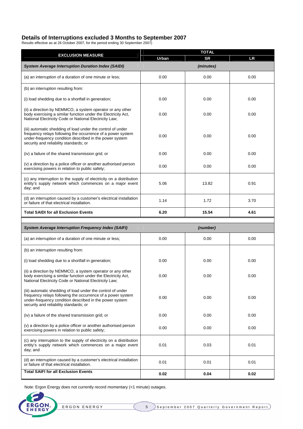## <span id="page-4-0"></span>**Details of Interruptions excluded 3 Months to September 2007**

Results effective as at 26 October 2007, for the period ending 30 September 2007)

|                                                                                                                                                                                                                                 | <b>TOTAL</b> |           |      |  |  |  |  |
|---------------------------------------------------------------------------------------------------------------------------------------------------------------------------------------------------------------------------------|--------------|-----------|------|--|--|--|--|
| <b>EXCLUSION MEASURE</b>                                                                                                                                                                                                        | <b>Urban</b> | <b>SR</b> | LR   |  |  |  |  |
| <b>System Average Interruption Duration Index (SAIDI)</b>                                                                                                                                                                       |              | (minutes) |      |  |  |  |  |
| (a) an interruption of a duration of one minute or less;                                                                                                                                                                        | 0.00         | 0.00      | 0.00 |  |  |  |  |
| (b) an interruption resulting from:                                                                                                                                                                                             |              |           |      |  |  |  |  |
| (i) load shedding due to a shortfall in generation;                                                                                                                                                                             | 0.00         | 0.00      | 0.00 |  |  |  |  |
| (ii) a direction by NEMMCO, a system operator or any other<br>body exercising a similar function under the Electricity Act,<br>National Electricity Code or National Electricity Law;                                           | 0.00         | 0.00      | 0.00 |  |  |  |  |
| (iii) automatic shedding of load under the control of under<br>frequency relays following the occurrence of a power system<br>under-frequency condition described in the power system<br>security and reliability standards; or | 0.00         | 0.00      | 0.00 |  |  |  |  |
| (iv) a failure of the shared transmission grid; or                                                                                                                                                                              | 0.00         | 0.00      | 0.00 |  |  |  |  |
| (v) a direction by a police officer or another authorised person<br>exercising powers in relation to public safety;                                                                                                             | 0.00         | 0.00      | 0.00 |  |  |  |  |
| (c) any interruption to the supply of electricity on a distribution<br>entity's supply network which commences on a major event<br>day; and                                                                                     | 5.06         | 13.82     | 0.91 |  |  |  |  |
| (d) an interruption caused by a customer's electrical installation<br>or failure of that electrical installation.                                                                                                               | 1.14         | 3.70      |      |  |  |  |  |
| <b>Total SAIDI for all Exclusion Events</b>                                                                                                                                                                                     | 6.20         | 15.54     | 4.61 |  |  |  |  |
|                                                                                                                                                                                                                                 |              |           |      |  |  |  |  |
| <b>System Average Interruption Frequency Index (SAIFI)</b>                                                                                                                                                                      |              | (number)  |      |  |  |  |  |
| (a) an interruption of a duration of one minute or less;                                                                                                                                                                        | 0.00         | 0.00      | 0.00 |  |  |  |  |
| (b) an interruption resulting from:                                                                                                                                                                                             |              |           |      |  |  |  |  |
| (i) load shedding due to a shortfall in generation;                                                                                                                                                                             | 0.00         | 0.00      | 0.00 |  |  |  |  |
| (ii) a direction by NEMMCO, a system operator or any other<br>body exercising a similar function under the Electricity Act,<br>National Electricity Code or National Electricity Law;                                           | 0.00         | 0.00      | 0.00 |  |  |  |  |
| (iii) automatic shedding of load under the control of under<br>frequency relays following the occurrence of a power system<br>under-frequency condition described in the power system<br>security and reliability standards; or | 0.00         | 0.00      | 0.00 |  |  |  |  |
| (iv) a failure of the shared transmission grid; or                                                                                                                                                                              | 0.00         | 0.00      | 0.00 |  |  |  |  |
| (v) a direction by a police officer or another authorised person<br>exercising powers in relation to public safety;                                                                                                             | 0.00         | 0.00      | 0.00 |  |  |  |  |
| (c) any interruption to the supply of electricity on a distribution<br>entity's supply network which commences on a major event<br>day; and                                                                                     | 0.01         | 0.03      | 0.01 |  |  |  |  |
| (d) an interruption caused by a customer's electrical installation<br>or failure of that electrical installation.                                                                                                               | 0.01         | 0.01      | 0.01 |  |  |  |  |
| <b>Total SAIFI for all Exclusion Events</b>                                                                                                                                                                                     | 0.02         | 0.04      | 0.02 |  |  |  |  |

Note: Ergon Energy does not currently record momentary (<1 minute) outages.

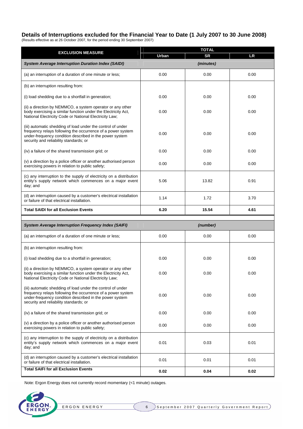## <span id="page-5-0"></span>**Details of Interruptions excluded for the Financial Year to Date (1 July 2007 to 30 June 2008)**

(Results effective as at 26 October 2007, for the period ending 30 September 2007)

| <b>EXCLUSION MEASURE</b>                                                                                                                                                                                                        | <b>Urban</b> | <b>SR</b> | <b>LR</b> |
|---------------------------------------------------------------------------------------------------------------------------------------------------------------------------------------------------------------------------------|--------------|-----------|-----------|
| <b>System Average Interruption Duration Index (SAIDI)</b>                                                                                                                                                                       |              | (minutes) |           |
| (a) an interruption of a duration of one minute or less;                                                                                                                                                                        | 0.00         | 0.00      | 0.00      |
| (b) an interruption resulting from:                                                                                                                                                                                             |              |           |           |
| (i) load shedding due to a shortfall in generation;                                                                                                                                                                             | 0.00         | 0.00      | 0.00      |
| (ii) a direction by NEMMCO, a system operator or any other<br>body exercising a similar function under the Electricity Act,<br>National Electricity Code or National Electricity Law;                                           | 0.00         | 0.00      | 0.00      |
| (iii) automatic shedding of load under the control of under<br>frequency relays following the occurrence of a power system<br>under-frequency condition described in the power system<br>security and reliability standards; or | 0.00         | 0.00      | 0.00      |
| (iv) a failure of the shared transmission grid; or                                                                                                                                                                              | 0.00         | 0.00      | 0.00      |
| (v) a direction by a police officer or another authorised person<br>exercising powers in relation to public safety;                                                                                                             | 0.00         | 0.00      | 0.00      |
| (c) any interruption to the supply of electricity on a distribution<br>entity's supply network which commences on a major event<br>day; and                                                                                     | 5.06         | 13.82     | 0.91      |
| (d) an interruption caused by a customer's electrical installation<br>or failure of that electrical installation.                                                                                                               | 1.14         | 1.72      | 3.70      |
| <b>Total SAIDI for all Exclusion Events</b>                                                                                                                                                                                     | 6.20         | 15.54     | 4.61      |
|                                                                                                                                                                                                                                 |              |           |           |
| <b>System Average Interruption Frequency Index (SAIFI)</b>                                                                                                                                                                      |              | (number)  |           |
| (a) an interruption of a duration of one minute or less;                                                                                                                                                                        | 0.00         | 0.00      | 0.00      |
| (b) an interruption resulting from:                                                                                                                                                                                             |              |           |           |
| (i) load shedding due to a shortfall in generation;                                                                                                                                                                             | 0.00         | 0.00      | 0.00      |
| (ii) a direction by NEMMCO, a system operator or any other<br>body exercising a similar function under the Electricity Act,<br>National Electricity Code or National Electricity Law;                                           | 0.00         | 0.00      | 0.00      |
| (iii) automatic shedding of load under the control of under<br>frequency relays following the occurrence of a power system<br>under-frequency condition described in the power system<br>security and reliability standards; or | 0.00         | 0.00      | 0.00      |
| (iv) a failure of the shared transmission grid; or                                                                                                                                                                              | 0.00         | 0.00      | 0.00      |
| (v) a direction by a police officer or another authorised person<br>exercising powers in relation to public safety;                                                                                                             | 0.00         | 0.00      | 0.00      |
| (c) any interruption to the supply of electricity on a distribution<br>entity's supply network which commences on a major event<br>day; and                                                                                     | 0.01         | 0.03      | 0.01      |
| (d) an interruption caused by a customer's electrical installation<br>or failure of that electrical installation.                                                                                                               | 0.01         | 0.01      | 0.01      |
| <b>Total SAIFI for all Exclusion Events</b>                                                                                                                                                                                     | 0.02         | 0.04      | 0.02      |

Note: Ergon Energy does not currently record momentary (<1 minute) outages.

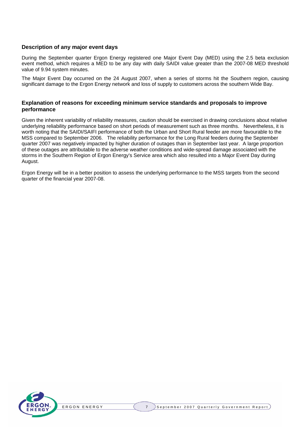## <span id="page-6-0"></span>**Description of any major event days**

During the September quarter Ergon Energy registered one Major Event Day (MED) using the 2.5 beta exclusion event method, which requires a MED to be any day with daily SAIDI value greater than the 2007-08 MED threshold value of 9.94 system minutes.

The Major Event Day occurred on the 24 August 2007, when a series of storms hit the Southern region, causing significant damage to the Ergon Energy network and loss of supply to customers across the southern Wide Bay.

#### **Explanation of reasons for exceeding minimum service standards and proposals to improve performance**

Given the inherent variability of reliability measures, caution should be exercised in drawing conclusions about relative underlying reliability performance based on short periods of measurement such as three months. Nevertheless, it is worth noting that the SAIDI/SAIFI performance of both the Urban and Short Rural feeder are more favourable to the MSS compared to September 2006. The reliability performance for the Long Rural feeders during the September quarter 2007 was negatively impacted by higher duration of outages than in September last year. A large proportion of these outages are attributable to the adverse weather conditions and wide-spread damage associated with the storms in the Southern Region of Ergon Energy's Service area which also resulted into a Major Event Day during August.

Ergon Energy will be in a better position to assess the underlying performance to the MSS targets from the second quarter of the financial year 2007-08.

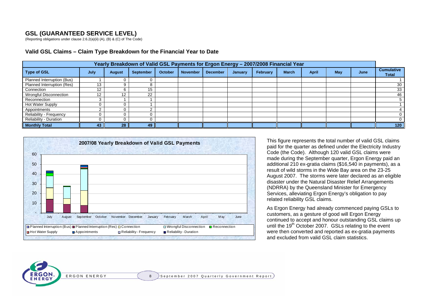## **GSL (GUARANTEED SERVICE LEVEL)**

(Reporting obligations under clause 2.6.2(a)(ii) (A), (B) & (C) of The Code)

| Yearly Breakdown of Valid GSL Payments for Ergon Energy - 2007/2008 Financial Year |      |               |                  |                |                 |                 |         |          |              |              |     |      |                                   |
|------------------------------------------------------------------------------------|------|---------------|------------------|----------------|-----------------|-----------------|---------|----------|--------------|--------------|-----|------|-----------------------------------|
| <b>Type of GSL</b>                                                                 | July | <b>August</b> | <b>September</b> | <b>October</b> | <b>November</b> | <b>December</b> | January | February | <b>March</b> | <b>April</b> | May | June | <b>Cumulative</b><br><b>Total</b> |
| Planned Interruption (Bus)                                                         |      |               |                  |                |                 |                 |         |          |              |              |     |      |                                   |
| Planned Interruption (Res)                                                         | 13   |               |                  |                |                 |                 |         |          |              |              |     |      | 30                                |
| Connection                                                                         | 1つ   |               | 15               |                |                 |                 |         |          |              |              |     |      | 33                                |
| Wrongful Disconnection                                                             | 12   | 12            | 22               |                |                 |                 |         |          |              |              |     |      | 46                                |
| Reconnection                                                                       |      |               |                  |                |                 |                 |         |          |              |              |     |      | 5                                 |
| Hot Water Supply                                                                   |      |               |                  |                |                 |                 |         |          |              |              |     |      |                                   |
| Appointments                                                                       |      |               |                  |                |                 |                 |         |          |              |              |     |      |                                   |
| Reliability - Frequency                                                            |      |               |                  |                |                 |                 |         |          |              |              |     |      | 0                                 |
| <b>Reliability - Duration</b>                                                      |      |               |                  |                |                 |                 |         |          |              |              |     |      |                                   |
| <b>Monthly Total</b>                                                               | 43   | 28            | 49               |                |                 |                 |         |          |              |              |     |      | 120                               |

#### **Valid GSL Claims – Claim Type Breakdown for the Financial Year to Date**



This figure represents the total number of valid GSL claims paid for the quarter as defined under the Electricity Industry Code (the Code). Although 120 valid GSL claims were made during the September quarter, Ergon Energy paid an additional 210 ex-gratia claims (\$16,540 in payments), as a result of wild storms in the Wide Bay area on the 23-25 August 2007. The storms were later declared as an eligible disaster under the Natural Disaster Relief Arrangements (NDRRA) by the Queensland Minister for Emergency Services, alleviating Ergon Energy's obligation to pay related reliability GSL claims.

As Ergon Energy had already commenced paying GSLs to customers, as a gesture of good will Ergon Energy continued to accept and honour outstanding GSL claims up until the 19<sup>th</sup> October 2007. GSLs relating to the event were then converted and reported as ex-gratia payments and excluded from valid GSL claim statistics.

E R G

<span id="page-7-0"></span>**RGO** 

8 September 2007 Quarterly Government Report)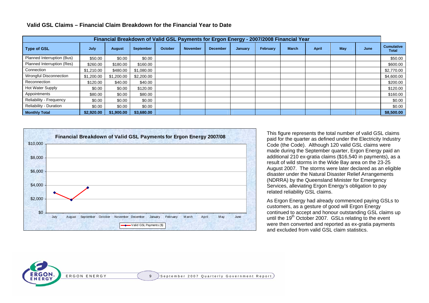| Financial Breakdown of Valid GSL Payments for Ergon Energy - 2007/2008 Financial Year |            |               |                  |         |                 |                 |         |          |              |              |     |      |                                   |
|---------------------------------------------------------------------------------------|------------|---------------|------------------|---------|-----------------|-----------------|---------|----------|--------------|--------------|-----|------|-----------------------------------|
| <b>Type of GSL</b>                                                                    | July       | <b>August</b> | <b>September</b> | October | <b>November</b> | <b>December</b> | January | February | <b>March</b> | <b>April</b> | May | June | <b>Cumulative</b><br><b>Total</b> |
| Planned Interruption (Bus)                                                            | \$50.00    | \$0.00        | \$0.00           |         |                 |                 |         |          |              |              |     |      | \$50.00                           |
| Planned Interruption (Res)                                                            | \$260.00   | \$180.00      | \$160.00         |         |                 |                 |         |          |              |              |     |      | \$600.00                          |
| Connection                                                                            | \$1,210,00 | \$480.00      | \$1,080.00       |         |                 |                 |         |          |              |              |     |      | \$2,770.00                        |
| Wrongful Disconnection                                                                | \$1,200.00 | \$1,200.00    | \$2,200.00       |         |                 |                 |         |          |              |              |     |      | \$4,600.00                        |
| Reconnection                                                                          | \$120.00   | \$40.00       | \$40.00          |         |                 |                 |         |          |              |              |     |      | \$200.00                          |
| Hot Water Supply                                                                      | \$0.00     | \$0.00        | \$120.00         |         |                 |                 |         |          |              |              |     |      | \$120.00                          |
| Appointments                                                                          | \$80.00    | \$0.00        | \$80.00          |         |                 |                 |         |          |              |              |     |      | \$160.00                          |
| Reliability - Frequency                                                               | \$0.00     | \$0.00        | \$0.00           |         |                 |                 |         |          |              |              |     |      | \$0.00                            |
| <b>Reliability - Duration</b>                                                         | \$0.00     | \$0.00        | \$0.00           |         |                 |                 |         |          |              |              |     |      | \$0.00                            |
| <b>Monthly Total</b>                                                                  | \$2,920,00 | \$1,900.00    | \$3,680.00       |         |                 |                 |         |          |              |              |     |      | \$8,500.00                        |

#### **Valid GSL Claims – Financial Claim Breakdown for the Financial Year to Date**



This figure represents the total number of valid GSL claims paid for the quarter as defined under the Electricity Industry Code (the Code). Although 120 valid GSL claims were made during the September quarter, Ergon Energy paid an additional 210 ex-gratia claims (\$16,540 in payments), as a result of wild storms in the Wide Bay area on the 23-25 August 2007. The storms were later declared as an eligible disaster under the Natural Disaster Relief Arrangements (NDRRA) by the Queensland Minister for Emergency Services, alleviating Ergon Energy's obligation to pay related reliability GSL claims.

As Ergon Energy had already commenced paying GSLs to customers, as a gesture of good will Ergon Energy continued to accept and honour outstanding GSL claims up until the 19<sup>th</sup> October 2007. GSLs relating to the event were then converted and reported as ex-gratia payments and excluded from valid GSL claim statistics.

E R G

<span id="page-8-0"></span>**RGO**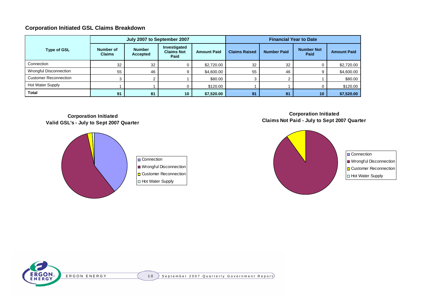## **Corporation Initiated GSL Claims Breakdown**

|                              |                            |                           | July 2007 to September 2007               |                    | <b>Financial Year to Date</b> |                    |                           |                    |  |  |
|------------------------------|----------------------------|---------------------------|-------------------------------------------|--------------------|-------------------------------|--------------------|---------------------------|--------------------|--|--|
| <b>Type of GSL</b>           | Number of<br><b>Claims</b> | <b>Number</b><br>Accepted | Investigated<br><b>Claims Not</b><br>Paid | <b>Amount Paid</b> | <b>Claims Raised</b>          | <b>Number Paid</b> | <b>Number Not</b><br>Paid | <b>Amount Paid</b> |  |  |
| Connection                   | 32                         | 32                        |                                           | \$2,720.00         | 32                            | 32                 |                           | \$2,720.00         |  |  |
| Wrongful Disconnection       | 55                         | 46                        | 9                                         | \$4,600.00         | 55                            | 46                 |                           | \$4,600.00         |  |  |
| <b>Customer Reconnection</b> |                            |                           |                                           | \$80.00            |                               |                    |                           | \$80.00            |  |  |
| Hot Water Supply             |                            |                           |                                           | \$120.00           |                               |                    |                           | \$120.00           |  |  |
| <b>Total</b>                 | 91                         | 81                        | 10                                        | \$7,520.00         | 91                            | 81                 | 10                        | \$7,520.00         |  |  |

## **Corporation Initiated Valid GSL's - July to Sept 2007 Quarter**



Connection **Wrongful Disconnection** Customer Reconnection Hot Water Supply

## **Corporation Initiated Claims Not Paid - July to Sept 2007 Quarter**



**D** Connection Wrongful Disconnection Customer Reconnection Hot Water Supply

<span id="page-9-0"></span>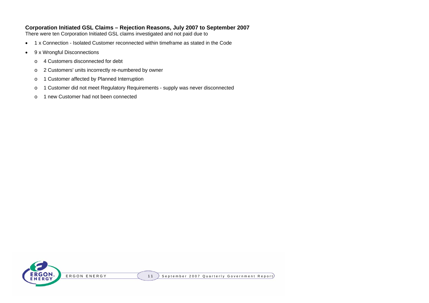## **Corporation Initiated GSL Claims – Rejection Reasons, July 2007 to September 2007**

There were ten Corporation Initiated GSL claims investigated and not paid due to

- •1 x Connection - Isolated Customer reconnected within timeframe as stated in the Code
- • 9 x Wrongful Disconnections
	- o4 Customers disconnected for debt
	- o2 Customers' units incorrectly re-numbered by owner
	- o1 Customer affected by Planned Interruption
	- o1 Customer did not meet Regulatory Requirements - supply was never disconnected
	- o1 new Customer had not been connected

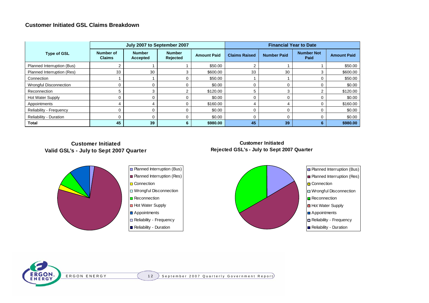### **Customer Initiated GSL Claims Breakdown**

|                               |                                   | <b>Financial Year to Date</b><br>July 2007 to September 2007 |                           |                    |                      |                    |                           |                    |  |
|-------------------------------|-----------------------------------|--------------------------------------------------------------|---------------------------|--------------------|----------------------|--------------------|---------------------------|--------------------|--|
| <b>Type of GSL</b>            | <b>Number of</b><br><b>Claims</b> | <b>Number</b><br><b>Accepted</b>                             | <b>Number</b><br>Rejected | <b>Amount Paid</b> | <b>Claims Raised</b> | <b>Number Paid</b> | <b>Number Not</b><br>Paid | <b>Amount Paid</b> |  |
| Planned Interruption (Bus)    |                                   |                                                              |                           | \$50.00            |                      |                    |                           | \$50.00            |  |
| Planned Interruption (Res)    | 33                                | 30                                                           |                           | \$600.00           | 33                   | 30                 |                           | \$600.00           |  |
| Connection                    |                                   |                                                              |                           | \$50.00            |                      |                    |                           | \$50.00            |  |
| Wrongful Disconnection        |                                   |                                                              |                           | \$0.00             |                      |                    |                           | \$0.00             |  |
| Reconnection                  |                                   |                                                              |                           | \$120.00           |                      |                    | ◠                         | \$120.00           |  |
| Hot Water Supply              |                                   |                                                              |                           | \$0.00             |                      |                    |                           | \$0.00             |  |
| Appointments                  |                                   |                                                              |                           | \$160.00           |                      |                    |                           | \$160.00           |  |
| Reliability - Frequency       |                                   |                                                              |                           | \$0.00             |                      |                    |                           | \$0.00             |  |
| <b>Reliability - Duration</b> |                                   |                                                              |                           | \$0.00             |                      |                    |                           | \$0.00             |  |
| <b>Total</b>                  | 45                                | 39                                                           | 6                         | \$980.00           | 45                   | 39                 | 6                         | \$980.00           |  |

**Customer InitiatedValid GSL's - July to Sept 2007 Quarter**



| Planned Interruption (Bus) |
|----------------------------|
| Planned Interruption (Res) |
| Connection                 |
| Wrongful Disconnection     |
| Reconnection               |
| <b>Hot Water Supply</b>    |
| Appointments               |
| Reliability - Frequency    |
|                            |





<span id="page-11-0"></span>ERGON E R G